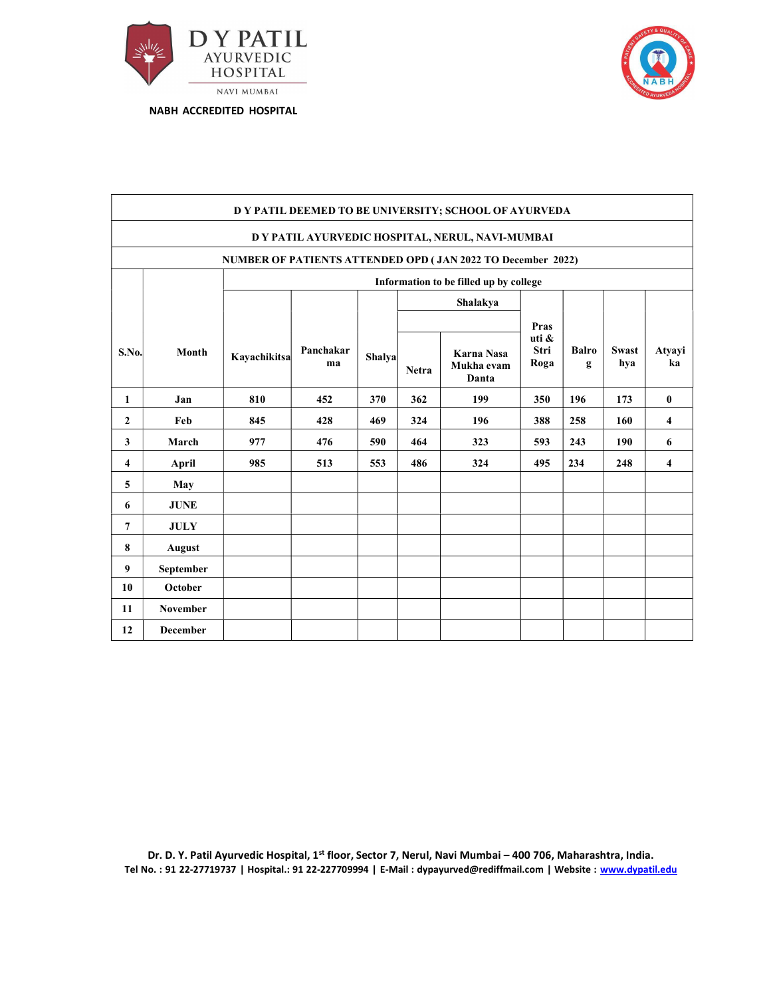



|                | D Y PATIL DEEMED TO BE UNIVERSITY; SCHOOL OF AYURVEDA       |              |                 |        |              |                                   |                       |                   |                     |              |  |  |  |
|----------------|-------------------------------------------------------------|--------------|-----------------|--------|--------------|-----------------------------------|-----------------------|-------------------|---------------------|--------------|--|--|--|
|                | D Y PATIL AYURVEDIC HOSPITAL, NERUL, NAVI-MUMBAI            |              |                 |        |              |                                   |                       |                   |                     |              |  |  |  |
|                | NUMBER OF PATIENTS ATTENDED OPD (JAN 2022 TO December 2022) |              |                 |        |              |                                   |                       |                   |                     |              |  |  |  |
|                | Information to be filled up by college                      |              |                 |        |              |                                   |                       |                   |                     |              |  |  |  |
|                | Shalakya                                                    |              |                 |        |              |                                   |                       |                   |                     |              |  |  |  |
|                | Pras                                                        |              |                 |        |              |                                   |                       |                   |                     |              |  |  |  |
| S.No.          | Month                                                       | Kayachikitsa | Panchakar<br>ma | Shalya | <b>Netra</b> | Karna Nasa<br>Mukha evam<br>Danta | uti &<br>Stri<br>Roga | <b>Balro</b><br>g | <b>Swast</b><br>hya | Atyayi<br>ka |  |  |  |
| $\mathbf{1}$   | Jan                                                         | 810          | 452             | 370    | 362          | 199                               | 350                   | 196               | 173                 | $\bf{0}$     |  |  |  |
| $\mathbf{2}$   | Feb                                                         | 845          | 428             | 469    | 324          | 196                               | 388                   | 258               | 160                 | 4            |  |  |  |
| 3              | March                                                       | 977          | 476             | 590    | 464          | 323                               | 593                   | 243               | 190                 | 6            |  |  |  |
| 4              | April                                                       | 985          | 513             | 553    | 486          | 324                               | 495                   | 234               | 248                 | 4            |  |  |  |
| 5              | May                                                         |              |                 |        |              |                                   |                       |                   |                     |              |  |  |  |
| 6              | <b>JUNE</b>                                                 |              |                 |        |              |                                   |                       |                   |                     |              |  |  |  |
| $\overline{7}$ | <b>JULY</b>                                                 |              |                 |        |              |                                   |                       |                   |                     |              |  |  |  |
| 8              | August                                                      |              |                 |        |              |                                   |                       |                   |                     |              |  |  |  |
| 9              | September                                                   |              |                 |        |              |                                   |                       |                   |                     |              |  |  |  |
| 10             | October                                                     |              |                 |        |              |                                   |                       |                   |                     |              |  |  |  |
| 11             | <b>November</b>                                             |              |                 |        |              |                                   |                       |                   |                     |              |  |  |  |
| 12             | <b>December</b>                                             |              |                 |        |              |                                   |                       |                   |                     |              |  |  |  |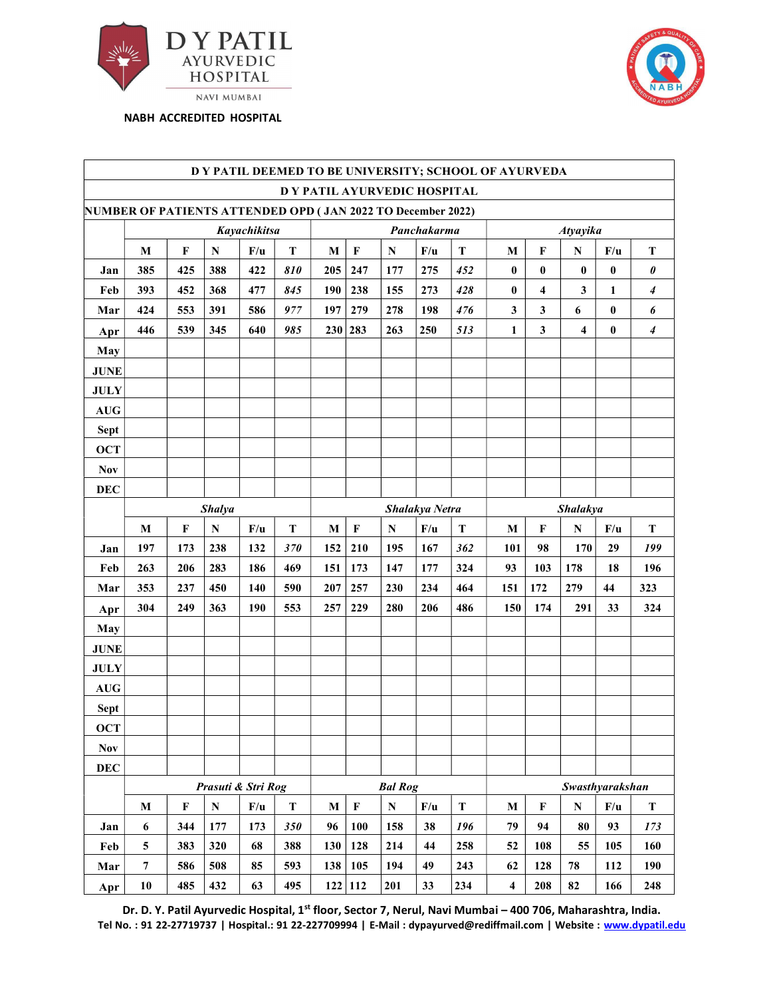



|                                            |                                                             |              |               |                    |             |              |                |                              |                |             | D Y PATIL DEEMED TO BE UNIVERSITY; SCHOOL OF AYURVEDA |                     |                         |              |                       |
|--------------------------------------------|-------------------------------------------------------------|--------------|---------------|--------------------|-------------|--------------|----------------|------------------------------|----------------|-------------|-------------------------------------------------------|---------------------|-------------------------|--------------|-----------------------|
|                                            |                                                             |              |               |                    |             |              |                | D Y PATIL AYURVEDIC HOSPITAL |                |             |                                                       |                     |                         |              |                       |
|                                            | NUMBER OF PATIENTS ATTENDED OPD (JAN 2022 TO December 2022) |              |               |                    |             |              |                |                              |                |             |                                                       |                     |                         |              |                       |
|                                            |                                                             |              |               | Kayachikitsa       |             |              |                |                              | Panchakarma    |             |                                                       |                     | <b>Atyayika</b>         |              |                       |
|                                            | $\mathbf{M}$                                                | $\mathbf{F}$ | ${\bf N}$     | F/u                | $\mathbf T$ | $\mathbf{M}$ | $\mathbf F$    | ${\bf N}$                    | F/u            | $\mathbf T$ | $\mathbf M$                                           | $\mathbf F$         | ${\bf N}$               | F/u          | $\mathbf T$           |
| Jan                                        | 385                                                         | 425          | 388           | 422                | 810         | 205          | 247            | 177                          | 275            | 452         | $\bf{0}$                                              | $\mathbf{0}$        | $\bf{0}$                | $\bf{0}$     | $\boldsymbol{\theta}$ |
| Feb                                        | 393                                                         | 452          | 368           | 477                | 845         | 190          | 238            | 155                          | 273            | 428         | $\pmb{0}$                                             | $\overline{\bf{4}}$ | $\mathbf{3}$            | 1            | $\boldsymbol{4}$      |
| Mar                                        | 424                                                         | 553          | 391           | 586                | 977         | 197          | 279            | 278                          | 198            | 476         | $\mathbf{3}$                                          | $\mathbf{3}$        | 6                       | $\mathbf{0}$ | 6                     |
| Apr                                        | 446                                                         | 539          | 345           | 640                | 985         |              | 230 283        | 263                          | 250            | 513         | $\mathbf{1}$                                          | $\mathbf{3}$        | $\overline{\mathbf{4}}$ | $\bf{0}$     | $\overline{4}$        |
| May                                        |                                                             |              |               |                    |             |              |                |                              |                |             |                                                       |                     |                         |              |                       |
| <b>JUNE</b>                                |                                                             |              |               |                    |             |              |                |                              |                |             |                                                       |                     |                         |              |                       |
| $\mathbf{J}\mathbf{U}\mathbf{L}\mathbf{Y}$ |                                                             |              |               |                    |             |              |                |                              |                |             |                                                       |                     |                         |              |                       |
| $\mathbf{A}\mathbf{U}\mathbf{G}$           |                                                             |              |               |                    |             |              |                |                              |                |             |                                                       |                     |                         |              |                       |
| Sept                                       |                                                             |              |               |                    |             |              |                |                              |                |             |                                                       |                     |                         |              |                       |
| <b>OCT</b>                                 |                                                             |              |               |                    |             |              |                |                              |                |             |                                                       |                     |                         |              |                       |
| <b>Nov</b>                                 |                                                             |              |               |                    |             |              |                |                              |                |             |                                                       |                     |                         |              |                       |
| <b>DEC</b>                                 |                                                             |              |               |                    |             |              |                |                              |                |             |                                                       |                     |                         |              |                       |
|                                            |                                                             |              | <b>Shalya</b> |                    |             |              |                |                              | Shalakya Netra |             |                                                       |                     | <b>Shalakya</b>         |              |                       |
|                                            | $\mathbf{M}$                                                | $\mathbf F$  | ${\bf N}$     | F/u                | $\mathbf T$ | ${\bf M}$    | $\mathbf F$    | ${\bf N}$                    | F/u            | $\mathbf T$ | $\mathbf{M}$                                          | $\mathbf F$         | ${\bf N}$               | F/u          | $\mathbf T$           |
| Jan                                        | 197                                                         | 173          | 238           | 132                | 370         |              | $152 \mid 210$ | 195                          | 167            | 362         | 101                                                   | 98                  | 170                     | 29           | 199                   |
| Feb                                        | 263                                                         | 206          | 283           | 186                | 469         | 151          | 173            | 147                          | 177            | 324         | 93                                                    | 103                 | 178                     | 18           | 196                   |
| Mar                                        | 353                                                         | 237          | 450           | 140                | 590         | 207          | 257            | 230                          | 234            | 464         | 151                                                   | 172                 | 279                     | 44           | 323                   |
| Apr                                        | 304                                                         | 249          | 363           | 190                | 553         | 257          | 229            | 280                          | 206            | 486         | 150                                                   | 174                 | 291                     | 33           | 324                   |
| May                                        |                                                             |              |               |                    |             |              |                |                              |                |             |                                                       |                     |                         |              |                       |
| $\bold{J} \bold{U} \bold{N} \bold{E}$      |                                                             |              |               |                    |             |              |                |                              |                |             |                                                       |                     |                         |              |                       |
| <b>JULY</b>                                |                                                             |              |               |                    |             |              |                |                              |                |             |                                                       |                     |                         |              |                       |
| $\mathbf{A}\mathbf{U}\mathbf{G}$           |                                                             |              |               |                    |             |              |                |                              |                |             |                                                       |                     |                         |              |                       |
| Sept                                       |                                                             |              |               |                    |             |              |                |                              |                |             |                                                       |                     |                         |              |                       |
| <b>OCT</b>                                 |                                                             |              |               |                    |             |              |                |                              |                |             |                                                       |                     |                         |              |                       |
| <b>Nov</b>                                 |                                                             |              |               |                    |             |              |                |                              |                |             |                                                       |                     |                         |              |                       |
| <b>DEC</b>                                 |                                                             |              |               |                    |             |              |                |                              |                |             |                                                       |                     |                         |              |                       |
|                                            |                                                             |              |               | Prasuti & Stri Rog |             |              |                | <b>Bal Rog</b>               |                |             |                                                       |                     | Swasthyarakshan         |              |                       |
|                                            | $\mathbf M$                                                 | $\mathbf{F}$ | ${\bf N}$     | F/u                | ${\bf T}$   | $\mathbf M$  | $\mathbf F$    | ${\bf N}$                    | F/u            | ${\bf T}$   | $\bf M$                                               | $\mathbf F$         | ${\bf N}$               | F/u          | $\mathbf T$           |
|                                            |                                                             |              |               |                    |             |              |                | 158                          | 38             | 196         | 79                                                    | 94                  | 80                      | 93           | 173                   |
| Jan                                        | 6                                                           | 344          | 177           | 173                | 350         | 96           | 100            |                              |                |             |                                                       |                     |                         |              |                       |
| Feb                                        | $\overline{5}$                                              | 383          | 320           | 68                 | 388         | 130          | 128            | 214                          | 44             | 258         | 52                                                    | 108                 | 55                      | 105          | 160                   |
| Mar                                        | $\overline{7}$                                              | 586          | 508           | 85                 | 593         |              | 138 105        | 194                          | 49             | 243         | 62                                                    | 128                 | 78                      | 112          | 190                   |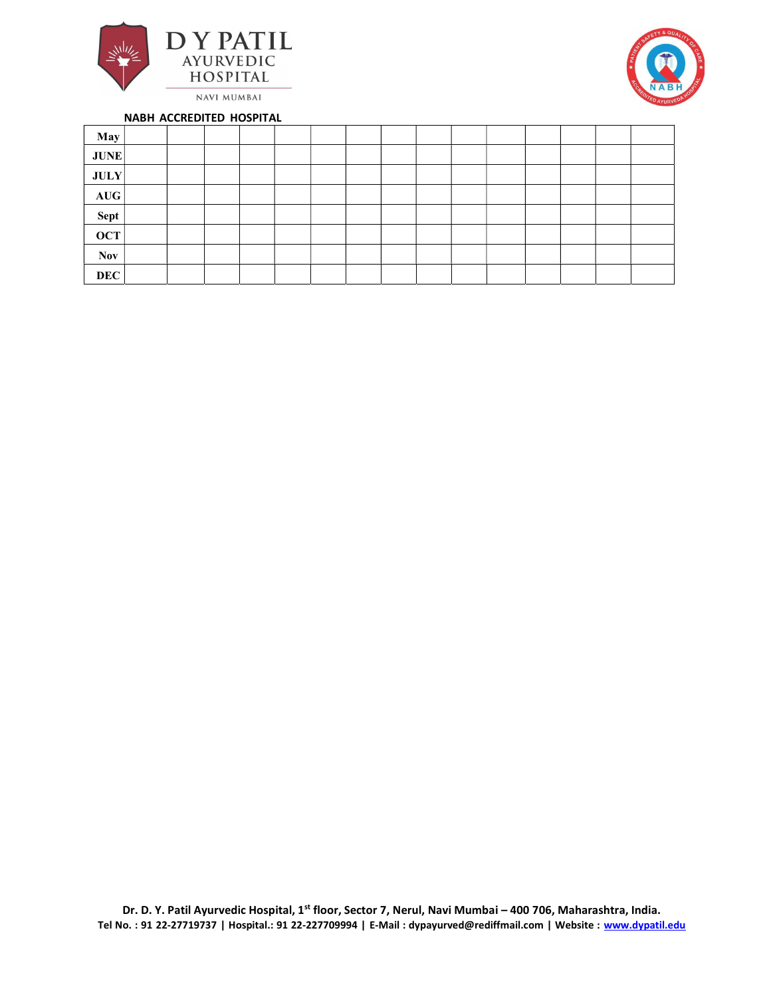



| May         |  |  |  |  |  |  |  |  |
|-------------|--|--|--|--|--|--|--|--|
| <b>JUNE</b> |  |  |  |  |  |  |  |  |
| JULY        |  |  |  |  |  |  |  |  |
| AUG         |  |  |  |  |  |  |  |  |
| Sept        |  |  |  |  |  |  |  |  |
| <b>OCT</b>  |  |  |  |  |  |  |  |  |
| <b>Nov</b>  |  |  |  |  |  |  |  |  |
| <b>DEC</b>  |  |  |  |  |  |  |  |  |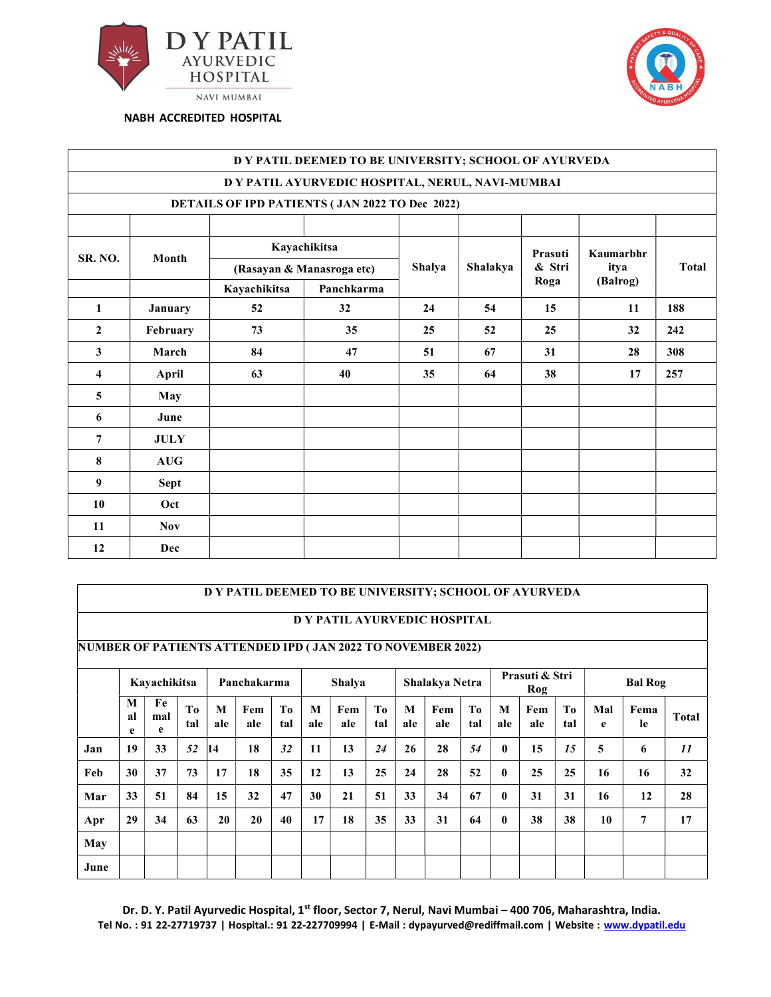



|                |             |                                                       | DY PATIL DEEMED TO BE UNIVERSITY; SCHOOL OF AYURVEDA |        |          |                   |                  |       |
|----------------|-------------|-------------------------------------------------------|------------------------------------------------------|--------|----------|-------------------|------------------|-------|
|                |             |                                                       | D Y PATIL AYURVEDIC HOSPITAL, NERUL, NAVI-MUMBAI     |        |          |                   |                  |       |
|                |             | <b>DETAILS OF IPD PATIENTS (JAN 2022 TO Dec 2022)</b> |                                                      |        |          |                   |                  |       |
| SR. NO.        | Month       |                                                       | Kayachikitsa                                         |        | Shalakya | Prasuti<br>& Stri | Kaumarbhr        | Total |
|                |             | Kayachikitsa                                          | (Rasayan & Manasroga etc)<br>Panchkarma              | Shalya |          | Roga              | itya<br>(Balrog) |       |
| 1              | January     | 52                                                    | 32                                                   | 24     | 54       | 15                | 11               | 188   |
| $\overline{2}$ | February    | 73                                                    | 35                                                   | 25     | 52       | 25                | 32               | 242   |
| $\mathbf{3}$   | March       | 84                                                    | 47                                                   | 51     | 67       | 31                | 28               | 308   |
| $\overline{4}$ | April       | 63                                                    | 40                                                   | 35     | 64       | 38                | 17               | 257   |
| $\overline{5}$ | May         |                                                       |                                                      |        |          |                   |                  |       |
| 6              | June        |                                                       |                                                      |        |          |                   |                  |       |
| $\overline{7}$ | <b>JULY</b> |                                                       |                                                      |        |          |                   |                  |       |
| 8              | AUG         |                                                       |                                                      |        |          |                   |                  |       |
| 9              | Sept        |                                                       |                                                      |        |          |                   |                  |       |
| 10             | Oct         |                                                       |                                                      |        |          |                   |                  |       |
| 11             | <b>Nov</b>  |                                                       |                                                      |        |          |                   |                  |       |
| 12             | Dec         |                                                       |                                                      |        |          |                   |                  |       |

#### D Y PATIL DEEMED TO BE UNIVERSITY; SCHOOL OF AYURVEDA

### D Y PATIL AYURVEDIC HOSPITAL

NUMBER OF PATIENTS ATTENDED IPD ( JAN 2022 TO NOVEMBER 2022)

|      |              | Kayachikitsa   |           |          | Panchakarma |                       |          | <b>Shalya</b> |                       |          | <b>Shalakya Netra</b> |           |              | Prasuti & Stri<br>Rog |                       |          | <b>Bal Rog</b> |              |
|------|--------------|----------------|-----------|----------|-------------|-----------------------|----------|---------------|-----------------------|----------|-----------------------|-----------|--------------|-----------------------|-----------------------|----------|----------------|--------------|
|      | M<br>al<br>e | Fe<br>mal<br>e | To<br>tal | M<br>ale | Fem<br>ale  | T <sub>0</sub><br>tal | M<br>ale | Fem<br>ale    | T <sub>0</sub><br>tal | M<br>ale | Fem<br>ale            | To<br>tal | M<br>ale     | Fem<br>ale            | T <sub>0</sub><br>tal | Mal<br>e | Fema<br>le     | <b>Total</b> |
| Jan  | 19           | 33             | 52        | 14       | 18          | 32                    | 11       | 13            | 24                    | 26       | 28                    | 54        | $\mathbf{0}$ | 15                    | 15                    | 5        | 6              | 11           |
| Feb  | 30           | 37             | 73        | 17       | 18          | 35                    | 12       | 13            | 25                    | 24       | 28                    | 52        | $\mathbf{0}$ | 25                    | 25                    | 16       | 16             | 32           |
| Mar  | 33           | 51             | 84        | 15       | 32          | 47                    | 30       | 21            | 51                    | 33       | 34                    | 67        | $\mathbf{0}$ | 31                    | 31                    | 16       | 12             | 28           |
| Apr  | 29           | 34             | 63        | 20       | 20          | 40                    | 17       | 18            | 35                    | 33       | 31                    | 64        | $\mathbf{0}$ | 38                    | 38                    | 10       | 7              | 17           |
| May  |              |                |           |          |             |                       |          |               |                       |          |                       |           |              |                       |                       |          |                |              |
| June |              |                |           |          |             |                       |          |               |                       |          |                       |           |              |                       |                       |          |                |              |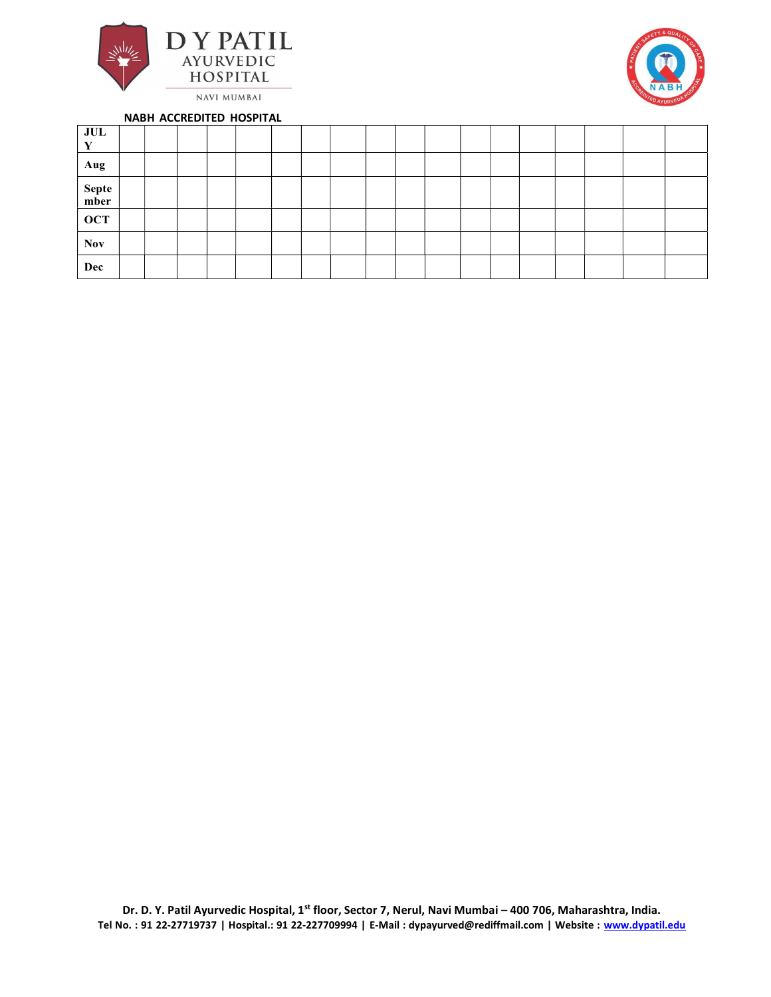



| JUL<br>V      |  |  |  |  |  |  |  |  |  |
|---------------|--|--|--|--|--|--|--|--|--|
| Aug           |  |  |  |  |  |  |  |  |  |
| Septe<br>mber |  |  |  |  |  |  |  |  |  |
| <b>OCT</b>    |  |  |  |  |  |  |  |  |  |
| Nov           |  |  |  |  |  |  |  |  |  |
| Dec           |  |  |  |  |  |  |  |  |  |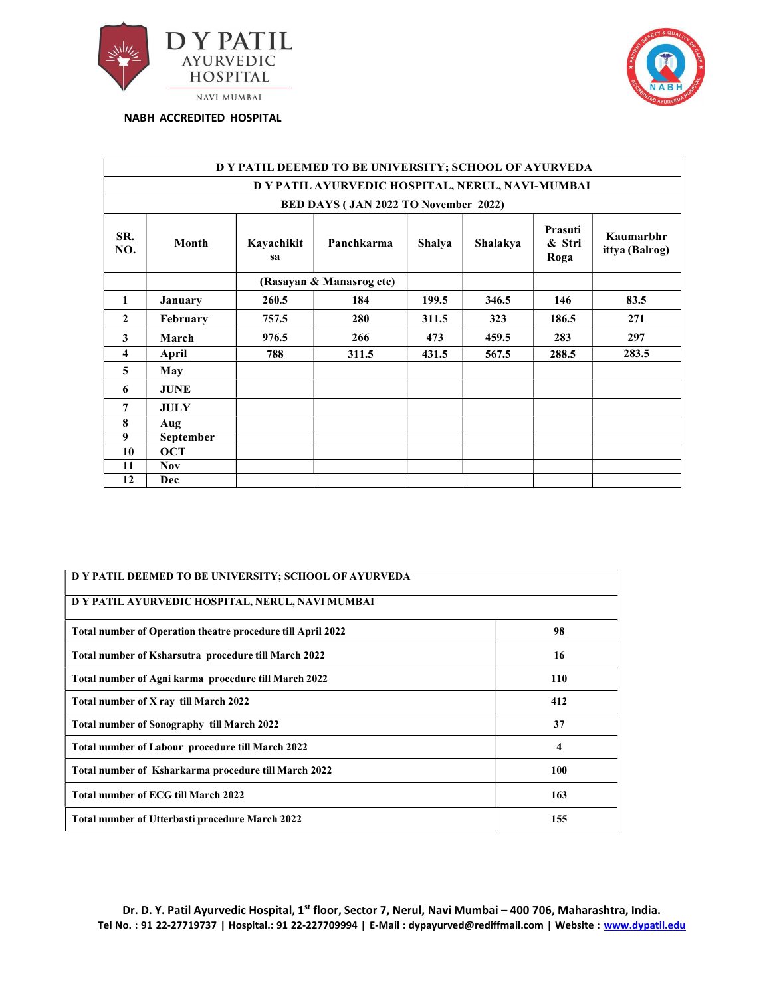



|                |             |                  | D Y PATIL DEEMED TO BE UNIVERSITY; SCHOOL OF AYURVEDA |               |          |                           |                             |
|----------------|-------------|------------------|-------------------------------------------------------|---------------|----------|---------------------------|-----------------------------|
|                |             |                  | D Y PATIL AYURVEDIC HOSPITAL, NERUL, NAVI-MUMBAI      |               |          |                           |                             |
|                |             |                  | BED DAYS (JAN 2022 TO November 2022)                  |               |          |                           |                             |
| SR.<br>NO.     | Month       | Kayachikit<br>sa | Panchkarma                                            | <b>Shalya</b> | Shalakya | Prasuti<br>& Stri<br>Roga | Kaumarbhr<br>ittya (Balrog) |
|                |             |                  | (Rasayan & Manasrog etc)                              |               |          |                           |                             |
| 1              | January     | 260.5            | 184                                                   | 199.5         | 346.5    | 146                       | 83.5                        |
| $\mathbf{2}$   | February    | 757.5            | 280                                                   | 311.5         | 323      | 186.5                     | 271                         |
| $\mathbf{3}$   | March       | 976.5            | 266                                                   | 473           | 459.5    | 283                       | 297                         |
| 4              | April       | 788              | 311.5                                                 | 431.5         | 567.5    | 288.5                     | 283.5                       |
| 5 <sup>5</sup> | May         |                  |                                                       |               |          |                           |                             |
| 6              | <b>JUNE</b> |                  |                                                       |               |          |                           |                             |
| $\overline{7}$ | <b>JULY</b> |                  |                                                       |               |          |                           |                             |
| 8              | Aug         |                  |                                                       |               |          |                           |                             |
| 9              | September   |                  |                                                       |               |          |                           |                             |
| 10             | <b>OCT</b>  |                  |                                                       |               |          |                           |                             |
| 11             | <b>Nov</b>  |                  |                                                       |               |          |                           |                             |
| 12             | Dec         |                  |                                                       |               |          |                           |                             |

| D Y PATIL DEEMED TO BE UNIVERSITY; SCHOOL OF AYURVEDA       |     |  |  |  |  |  |  |  |
|-------------------------------------------------------------|-----|--|--|--|--|--|--|--|
| D Y PATIL AYURVEDIC HOSPITAL, NERUL, NAVI MUMBAI            |     |  |  |  |  |  |  |  |
| Total number of Operation theatre procedure till April 2022 | 98  |  |  |  |  |  |  |  |
| Total number of Ksharsutra procedure till March 2022        | 16  |  |  |  |  |  |  |  |
| Total number of Agni karma procedure till March 2022        | 110 |  |  |  |  |  |  |  |
| Total number of X ray till March 2022                       | 412 |  |  |  |  |  |  |  |
| <b>Total number of Sonography till March 2022</b>           | 37  |  |  |  |  |  |  |  |
| <b>Total number of Labour procedure till March 2022</b>     | 4   |  |  |  |  |  |  |  |
| Total number of Ksharkarma procedure till March 2022        | 100 |  |  |  |  |  |  |  |
| <b>Total number of ECG till March 2022</b>                  | 163 |  |  |  |  |  |  |  |
| <b>Total number of Utterbasti procedure March 2022</b>      | 155 |  |  |  |  |  |  |  |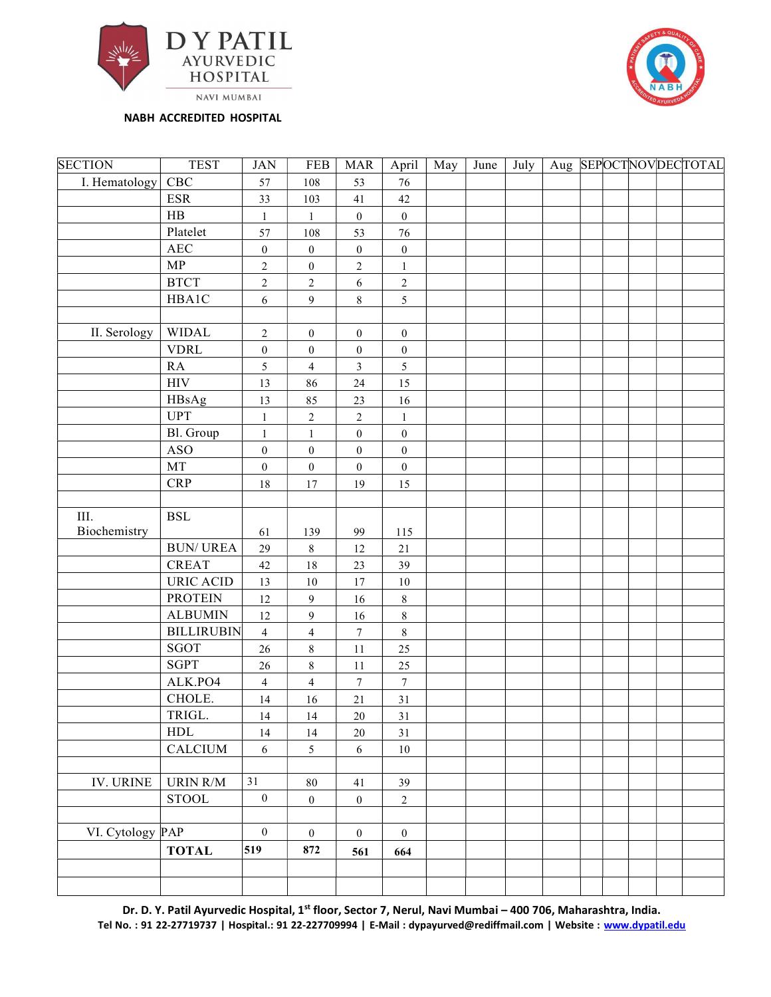



| <b>SECTION</b>    | <b>TEST</b>               | $\rm JAN$            | <b>FEB</b>              | <b>MAR</b>             | April                  | May | June | July |  |  | Aug SEPOCTNOVDECTOTAL |
|-------------------|---------------------------|----------------------|-------------------------|------------------------|------------------------|-----|------|------|--|--|-----------------------|
| I. Hematology CBC |                           | 57                   | 108                     | 53                     | $76\,$                 |     |      |      |  |  |                       |
|                   | <b>ESR</b>                | 33                   | 103                     | 41                     | 42                     |     |      |      |  |  |                       |
|                   | HB                        | $\,1$                | $\mathbf{1}$            | $\boldsymbol{0}$       | $\boldsymbol{0}$       |     |      |      |  |  |                       |
|                   | Platelet                  | 57                   | 108                     | 53                     | 76                     |     |      |      |  |  |                       |
|                   | $\rm{AEC}$                | $\boldsymbol{0}$     | $\boldsymbol{0}$        | $\boldsymbol{0}$       | $\boldsymbol{0}$       |     |      |      |  |  |                       |
|                   | ${\bf MP}$                | $\overline{2}$       | $\boldsymbol{0}$        | $\overline{c}$         | $\,1\,$                |     |      |      |  |  |                       |
|                   | <b>BTCT</b>               | $\overline{2}$       | $\overline{2}$          | 6                      | $\boldsymbol{2}$       |     |      |      |  |  |                       |
|                   | HBA1C                     | $\sqrt{6}$           | $\overline{9}$          | $\,8\,$                | $\overline{5}$         |     |      |      |  |  |                       |
|                   |                           |                      |                         |                        |                        |     |      |      |  |  |                       |
| II. Serology      | <b>WIDAL</b>              | $\overline{2}$       | $\mathbf{0}$            | $\boldsymbol{0}$       | $\boldsymbol{0}$       |     |      |      |  |  |                       |
|                   | <b>VDRL</b>               | $\boldsymbol{0}$     | $\boldsymbol{0}$        | $\boldsymbol{0}$       | $\boldsymbol{0}$       |     |      |      |  |  |                       |
|                   | RA                        | 5                    | $\overline{4}$          | $\mathfrak{Z}$         | 5                      |     |      |      |  |  |                       |
|                   | $\rm{HIV}$                | 13                   | 86                      | $24\,$                 | 15                     |     |      |      |  |  |                       |
|                   | HBsAg                     | 13                   | 85                      | $23\,$                 | $16\,$                 |     |      |      |  |  |                       |
|                   | <b>UPT</b>                | $\mathbf{1}$         | $\overline{c}$          | $\overline{c}$         | $\,1\,$                |     |      |      |  |  |                       |
|                   | Bl. Group                 | $\mathbf{1}$         | $\mathbf{1}$            | $\boldsymbol{0}$       | $\boldsymbol{0}$       |     |      |      |  |  |                       |
|                   | <b>ASO</b>                | $\boldsymbol{0}$     | $\boldsymbol{0}$        | $\boldsymbol{0}$       | $\boldsymbol{0}$       |     |      |      |  |  |                       |
|                   | MT                        | $\boldsymbol{0}$     | $\boldsymbol{0}$        | $\boldsymbol{0}$       | $\boldsymbol{0}$       |     |      |      |  |  |                       |
|                   | <b>CRP</b>                | $18\,$               | $17\,$                  | 19                     | 15                     |     |      |      |  |  |                       |
|                   |                           |                      |                         |                        |                        |     |      |      |  |  |                       |
| III.              | <b>BSL</b>                |                      |                         |                        |                        |     |      |      |  |  |                       |
| Biochemistry      |                           | 61                   | 139                     | 99                     | 115                    |     |      |      |  |  |                       |
|                   | <b>BUN/UREA</b>           | 29                   | $8\,$                   | 12                     | $21\,$                 |     |      |      |  |  |                       |
|                   | <b>CREAT</b>              | 42                   | $18\,$                  | $23\,$                 | 39                     |     |      |      |  |  |                       |
|                   | <b>URIC ACID</b>          | 13                   | $10\,$                  | 17                     | $10\,$                 |     |      |      |  |  |                       |
|                   | <b>PROTEIN</b>            | $12\,$               | 9                       | $16\,$                 | $\,$ 8 $\,$            |     |      |      |  |  |                       |
|                   | <b>ALBUMIN</b>            | $12\,$               | 9                       | $16\,$                 | $\,8\,$                |     |      |      |  |  |                       |
|                   | <b>BILLIRUBIN</b><br>SGOT | $\overline{4}$       | $\overline{4}$          | $\boldsymbol{7}$       | $\,8\,$                |     |      |      |  |  |                       |
|                   | <b>SGPT</b>               | 26                   | $8\,$                   | 11                     | $25\,$                 |     |      |      |  |  |                       |
|                   | ALK.PO4                   | 26                   | $8\,$<br>$\overline{4}$ | 11<br>$\boldsymbol{7}$ | 25<br>$\boldsymbol{7}$ |     |      |      |  |  |                       |
|                   | CHOLE.                    | $\overline{4}$       |                         |                        | 31                     |     |      |      |  |  |                       |
|                   | TRIGL.                    | 14                   | 16<br>14                | $21\,$                 | 31                     |     |      |      |  |  |                       |
|                   | ${\rm HDL}$               | 14                   |                         | $20\,$                 |                        |     |      |      |  |  |                       |
|                   | <b>CALCIUM</b>            | 14<br>$\overline{6}$ | 14<br>5                 | $20\,$<br>$\sqrt{6}$   | $31\,$<br>$10\,$       |     |      |      |  |  |                       |
|                   |                           |                      |                         |                        |                        |     |      |      |  |  |                       |
| <b>IV. URINE</b>  | URIN R/M                  | 31                   | $\bf 80$                | $41\,$                 | 39                     |     |      |      |  |  |                       |
|                   | <b>STOOL</b>              | $\boldsymbol{0}$     | $\boldsymbol{0}$        | $\boldsymbol{0}$       | $\sqrt{2}$             |     |      |      |  |  |                       |
|                   |                           |                      |                         |                        |                        |     |      |      |  |  |                       |
| VI. Cytology PAP  |                           | $\mathbf{0}$         | $\boldsymbol{0}$        | $\boldsymbol{0}$       | $\boldsymbol{0}$       |     |      |      |  |  |                       |
|                   | <b>TOTAL</b>              | 519                  | 872                     |                        |                        |     |      |      |  |  |                       |
|                   |                           |                      |                         | 561                    | 664                    |     |      |      |  |  |                       |
|                   |                           |                      |                         |                        |                        |     |      |      |  |  |                       |
|                   |                           |                      |                         |                        |                        |     |      |      |  |  |                       |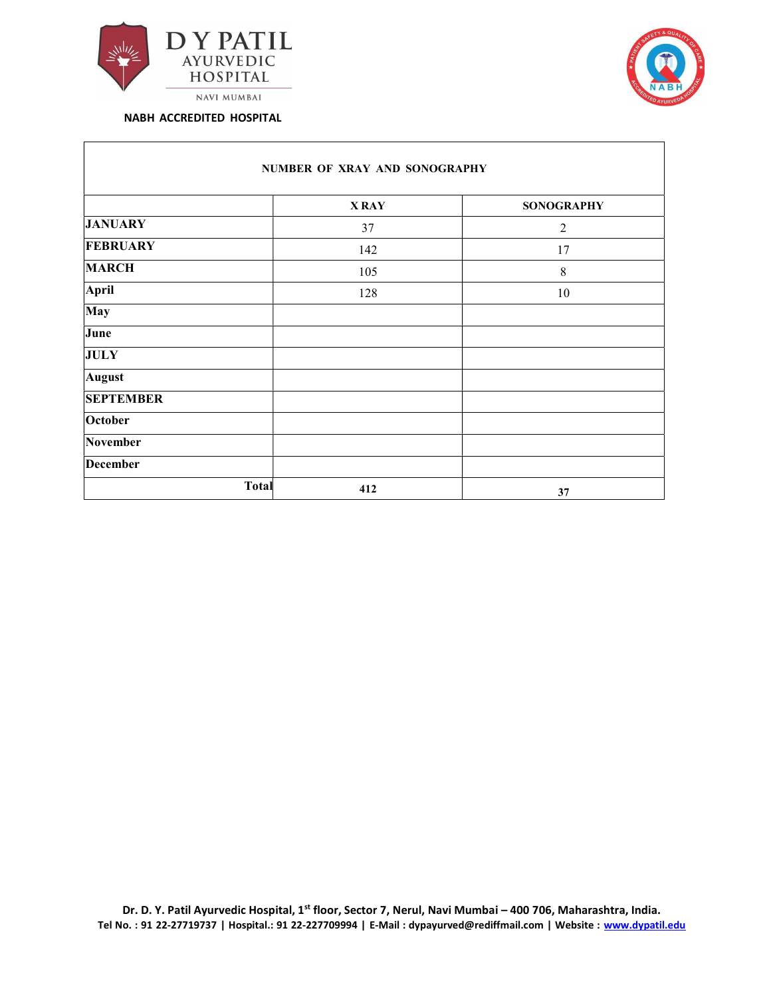



|                  | <b>XRAY</b> | <b>SONOGRAPHY</b> |
|------------------|-------------|-------------------|
| <b>JANUARY</b>   | 37          | $\overline{2}$    |
| <b>FEBRUARY</b>  | 142         | 17                |
| <b>MARCH</b>     | 105         | $\,$ 8 $\,$       |
| April            | 128         | 10                |
| May              |             |                   |
| June             |             |                   |
| <b>JULY</b>      |             |                   |
| <b>August</b>    |             |                   |
| <b>SEPTEMBER</b> |             |                   |
| October          |             |                   |
| November         |             |                   |
| <b>December</b>  |             |                   |
| <b>Total</b>     | 412         | 37                |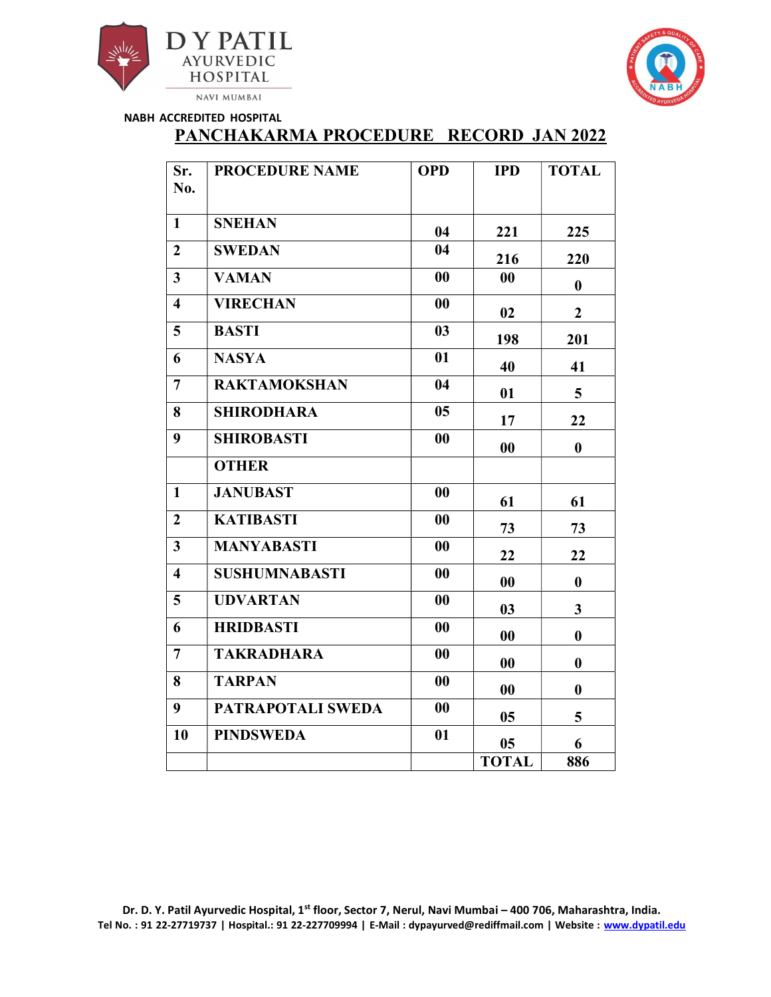



# PANCHAKARMA PROCEDURE RECORD JAN 2022

| Sr.<br>No.              | <b>PROCEDURE NAME</b> | <b>OPD</b>        | <b>IPD</b>        | <b>TOTAL</b>            |
|-------------------------|-----------------------|-------------------|-------------------|-------------------------|
| $\mathbf{1}$            | <b>SNEHAN</b>         | 04                | 221               | 225                     |
| $\overline{2}$          | <b>SWEDAN</b>         | 04                | 216               | 220                     |
| $\overline{\mathbf{3}}$ | <b>VAMAN</b>          | $\bf{00}$         | 00                | $\boldsymbol{0}$        |
| $\overline{\mathbf{4}}$ | <b>VIRECHAN</b>       | 00                | 02                | $\overline{2}$          |
| 5 <sup>5</sup>          | <b>BASTI</b>          | 03                | 198               | 201                     |
| 6                       | <b>NASYA</b>          | 01                | 40                | 41                      |
| $\overline{7}$          | <b>RAKTAMOKSHAN</b>   | 04                | 01                | 5                       |
| 8                       | <b>SHIRODHARA</b>     | 0 <sub>5</sub>    | 17                | 22                      |
| 9                       | <b>SHIROBASTI</b>     | 00                | $\boldsymbol{00}$ | $\boldsymbol{0}$        |
|                         | <b>OTHER</b>          |                   |                   |                         |
| $\mathbf{1}$            | <b>JANUBAST</b>       | 00                | 61                | 61                      |
| $\boldsymbol{2}$        | <b>KATIBASTI</b>      | $\bf{00}$         | 73                | 73                      |
| $\overline{3}$          | <b>MANYABASTI</b>     | 00                | 22                | 22                      |
| $\overline{\mathbf{4}}$ | <b>SUSHUMNABASTI</b>  | 00                | $\boldsymbol{00}$ | $\boldsymbol{0}$        |
| 5                       | <b>UDVARTAN</b>       | 00                | 03                | $\overline{\mathbf{3}}$ |
| 6                       | <b>HRIDBASTI</b>      | $\boldsymbol{00}$ | $\boldsymbol{00}$ | $\boldsymbol{0}$        |
| $\overline{7}$          | <b>TAKRADHARA</b>     | 00                | 00                | $\bf{0}$                |
| 8                       | <b>TARPAN</b>         | $\bf{00}$         | 00                | $\bf{0}$                |
| 9                       | PATRAPOTALI SWEDA     | 00                | 0 <sub>5</sub>    | 5                       |
| 10                      | <b>PINDSWEDA</b>      | 01                | 0 <sub>5</sub>    | 6                       |
|                         |                       |                   | <b>TOTAL</b>      | 886                     |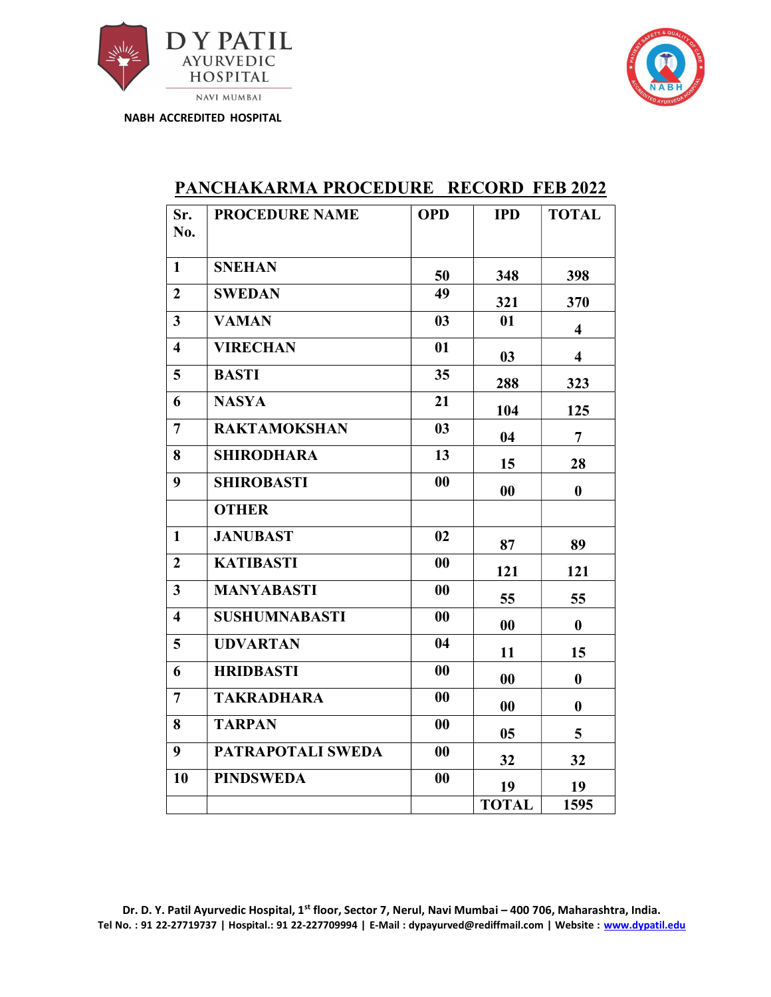



| Sr.<br>No.              | <b>PROCEDURE NAME</b> | <b>OPD</b>     | <b>IPD</b>   | <b>TOTAL</b>            |
|-------------------------|-----------------------|----------------|--------------|-------------------------|
| $\mathbf{1}$            | <b>SNEHAN</b>         | 50             | 348          | 398                     |
| $\boldsymbol{2}$        | <b>SWEDAN</b>         | 49             | 321          | 370                     |
| $\overline{3}$          | <b>VAMAN</b>          | 0 <sub>3</sub> | 01           | $\overline{\mathbf{4}}$ |
| $\overline{\mathbf{4}}$ | <b>VIRECHAN</b>       | 01             | 03           | $\overline{\mathbf{4}}$ |
| 5                       | <b>BASTI</b>          | 35             | 288          | 323                     |
| 6                       | <b>NASYA</b>          | 21             | 104          | 125                     |
| $\overline{7}$          | <b>RAKTAMOKSHAN</b>   | 03             | 04           | $\overline{7}$          |
| 8                       | <b>SHIRODHARA</b>     | 13             | 15           | 28                      |
| 9                       | <b>SHIROBASTI</b>     | 00             | 00           | $\bf{0}$                |
|                         | <b>OTHER</b>          |                |              |                         |
| $\mathbf{1}$            | <b>JANUBAST</b>       | 02             | 87           | 89                      |
| $\overline{2}$          | <b>KATIBASTI</b>      | 00             | 121          | 121                     |
| $\overline{3}$          | <b>MANYABASTI</b>     | 00             | 55           | 55                      |
| $\overline{\mathbf{4}}$ | <b>SUSHUMNABASTI</b>  | 00             | 00           | $\bf{0}$                |
| 5                       | <b>UDVARTAN</b>       | 04             | 11           | 15                      |
| 6                       | <b>HRIDBASTI</b>      | 00             | 00           | $\boldsymbol{0}$        |
| $\overline{7}$          | <b>TAKRADHARA</b>     | 00             | 00           | $\bf{0}$                |
| 8                       | <b>TARPAN</b>         | 00             | 05           | 5                       |
| 9                       | PATRAPOTALI SWEDA     | 00             | 32           | 32                      |
| 10                      | <b>PINDSWEDA</b>      | 00             | 19           | 19                      |
|                         |                       |                | <b>TOTAL</b> | 1595                    |

## PANCHAKARMA PROCEDURE RECORD FEB 2022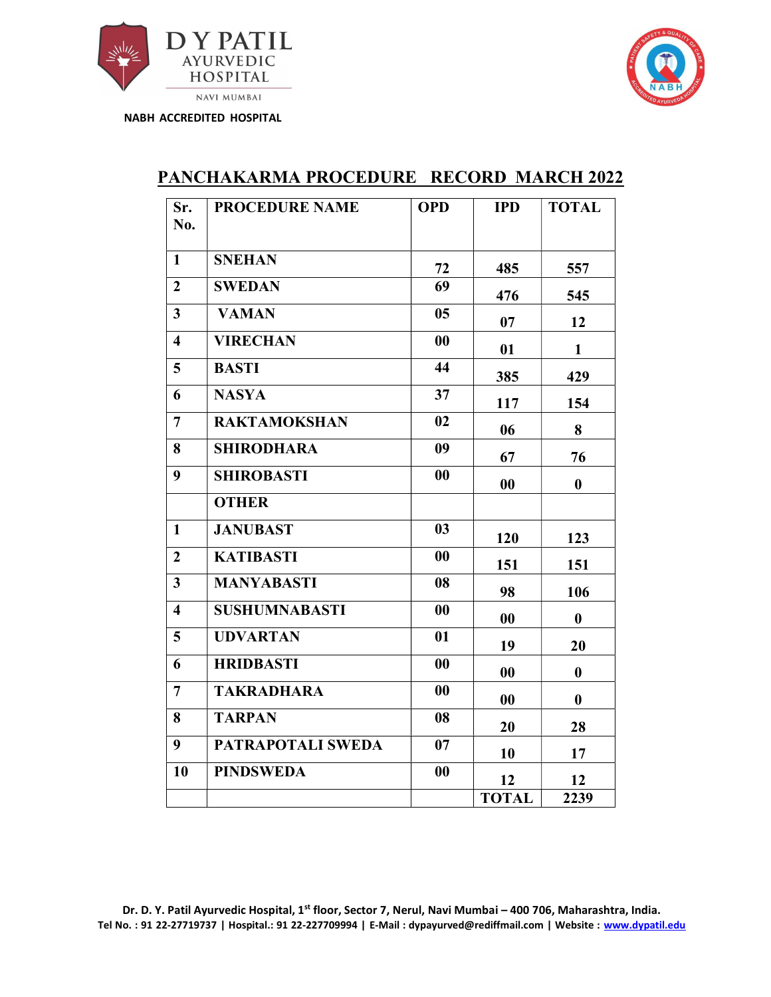



| Sr.<br>No.              | <b>PROCEDURE NAME</b> | <b>OPD</b>     | <b>IPD</b>   | <b>TOTAL</b>     |
|-------------------------|-----------------------|----------------|--------------|------------------|
| $\mathbf{1}$            | <b>SNEHAN</b>         | 72             | 485          | 557              |
| $\overline{2}$          | <b>SWEDAN</b>         | 69             | 476          | 545              |
| $\overline{\mathbf{3}}$ | <b>VAMAN</b>          | 0 <sub>5</sub> | 07           | 12               |
| $\overline{\mathbf{4}}$ | <b>VIRECHAN</b>       | $\bf{00}$      | 01           | $\mathbf{1}$     |
| 5 <sup>5</sup>          | <b>BASTI</b>          | 44             | 385          | 429              |
| 6                       | <b>NASYA</b>          | 37             | 117          | 154              |
| $\overline{7}$          | <b>RAKTAMOKSHAN</b>   | 02             | 06           | 8                |
| 8                       | <b>SHIRODHARA</b>     | 09             | 67           | 76               |
| 9                       | <b>SHIROBASTI</b>     | 00             | 00           | $\bf{0}$         |
|                         | <b>OTHER</b>          |                |              |                  |
| $\mathbf{1}$            | <b>JANUBAST</b>       | 03             | 120          | 123              |
| $\boldsymbol{2}$        | <b>KATIBASTI</b>      | 00             | 151          | 151              |
| $\overline{\mathbf{3}}$ | <b>MANYABASTI</b>     | 08             | 98           | 106              |
| $\overline{\mathbf{4}}$ | <b>SUSHUMNABASTI</b>  | 00             | 00           | $\boldsymbol{0}$ |
| 5                       | <b>UDVARTAN</b>       | 01             | 19           | 20               |
| 6                       | <b>HRIDBASTI</b>      | 00             | 00           | $\bf{0}$         |
| $\overline{7}$          | <b>TAKRADHARA</b>     | 00             | 00           | $\bf{0}$         |
| 8                       | <b>TARPAN</b>         | 08             | 20           | 28               |
| 9                       | PATRAPOTALI SWEDA     | 07             | 10           | 17               |
| 10                      | <b>PINDSWEDA</b>      | 00             | 12           | 12               |
|                         |                       |                | <b>TOTAL</b> | 2239             |

## PANCHAKARMA PROCEDURE RECORD MARCH 2022